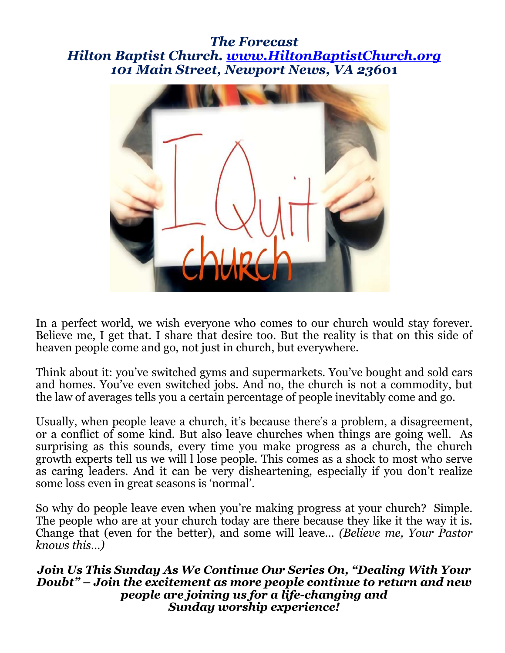### *The Forecast Hilton Baptist Church. www.HiltonBaptistChurch.org 101 Main Street, Newport News, VA 236***01**



In a perfect world, we wish everyone who comes to our church would stay forever. Believe me, I get that. I share that desire too. But the reality is that on this side of heaven people come and go, not just in church, but everywhere.

Think about it: you've switched gyms and supermarkets. You've bought and sold cars and homes. You've even switched jobs. And no, the church is not a commodity, but the law of averages tells you a certain percentage of people inevitably come and go.

Usually, when people leave a church, it's because there's a problem, a disagreement, or a conflict of some kind. But also leave churches when things are going well. As surprising as this sounds, every time you make progress as a church, the church growth experts tell us we will l lose people. This comes as a shock to most who serve as caring leaders. And it can be very disheartening, especially if you don't realize some loss even in great seasons is 'normal'.

So why do people leave even when you're making progress at your church? Simple. The people who are at your church today are there because they like it the way it is. Change that (even for the better), and some will leave… *(Believe me, Your Pastor knows this…)*

*Join Us This Sunday As We Continue Our Series On, "Dealing With Your Doubt" – Join the excitement as more people continue to return and new people are joining us for a life-changing and Sunday worship experience!*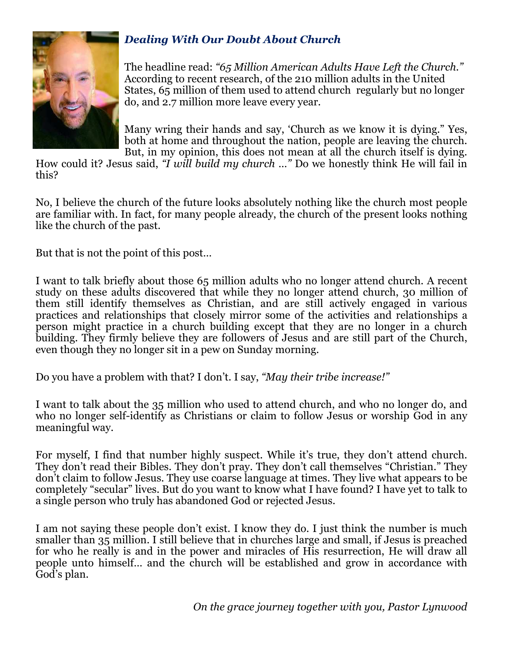

### *Dealing With Our Doubt About Church*

The headline read: *"65 Million American Adults Have Left the Church."*  According to recent research, of the 210 million adults in the United States, 65 million of them used to attend church regularly but no longer do, and 2.7 million more leave every year.

Many wring their hands and say, 'Church as we know it is dying." Yes, both at home and throughout the nation, people are leaving the church. But, in my opinion, this does not mean at all the church itself is dying.

How could it? Jesus said, *"I will build my church …"* Do we honestly think He will fail in this?

No, I believe the church of the future looks absolutely nothing like the church most people are familiar with. In fact, for many people already, the church of the present looks nothing like the church of the past.

But that is not the point of this post…

I want to talk briefly about those 65 million adults who no longer attend church. A recent study on these adults discovered that while they no longer attend church, 30 million of them still identify themselves as Christian, and are still actively engaged in various practices and relationships that closely mirror some of the activities and relationships a person might practice in a church building except that they are no longer in a church building. They firmly believe they are followers of Jesus and are still part of the Church, even though they no longer sit in a pew on Sunday morning.

Do you have a problem with that? I don't. I say, *"May their tribe increase!"*

I want to talk about the 35 million who used to attend church, and who no longer do, and who no longer self-identify as Christians or claim to follow Jesus or worship God in any meaningful way.

For myself, I find that number highly suspect. While it's true, they don't attend church. They don't read their Bibles. They don't pray. They don't call themselves "Christian." They don't claim to follow Jesus. They use coarse language at times. They live what appears to be completely "secular" lives. But do you want to know what I have found? I have yet to talk to a single person who truly has abandoned God or rejected Jesus.

I am not saying these people don't exist. I know they do. I just think the number is much smaller than 35 million. I still believe that in churches large and small, if Jesus is preached for who he really is and in the power and miracles of His resurrection, He will draw all people unto himself… and the church will be established and grow in accordance with God's plan.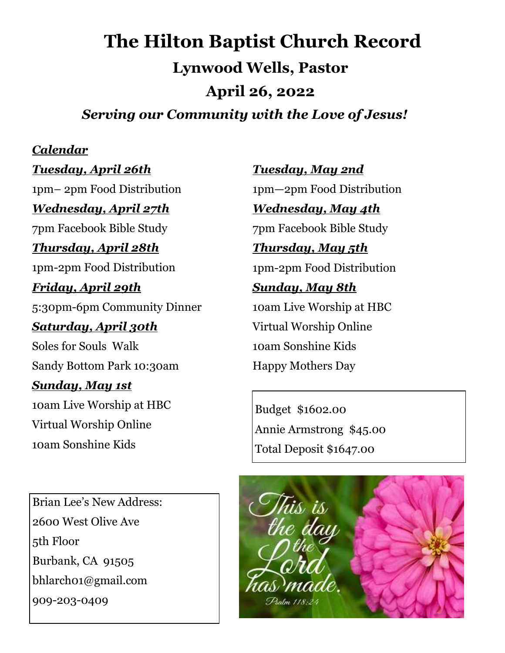# **The Hilton Baptist Church Record Lynwood Wells, Pastor April 26, 2022**  *Serving our Community with the Love of Jesus!*

### *Calendar*

*Tuesday, April 26th*  1pm– 2pm Food Distribution

*Wednesday, April 27th* 

7pm Facebook Bible Study

### *Thursday, April 28th*

1pm-2pm Food Distribution

### *Friday, April 29th*

5:30pm-6pm Community Dinner

## *Saturday, April 30th*  Soles for Souls Walk

Sandy Bottom Park 10:30am

### *Sunday, May 1st*

10am Live Worship at HBC Virtual Worship Online 10am Sonshine Kids

Brian Lee's New Address: 2600 West Olive Ave 5th Floor Burbank, CA 91505 bhlarch01@gmail.com 909-203-0409

*Tuesday, May 2nd*  1pm—2pm Food Distribution *Wednesday, May 4th* 

7pm Facebook Bible Study

# *Thursday, May 5th*  1pm-2pm Food Distribution

# *Sunday, May 8th*

10am Live Worship at HBC Virtual Worship Online 10am Sonshine Kids Happy Mothers Day

Budget \$1602.00 Annie Armstrong \$45.00 Total Deposit \$1647.00

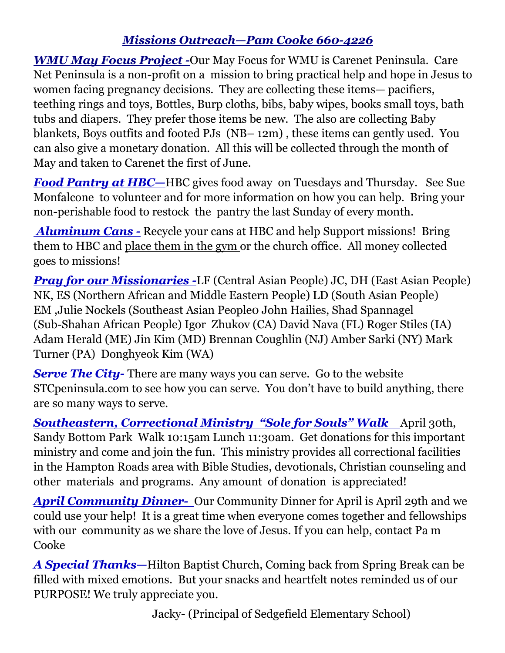# *Missions Outreach—Pam Cooke 660-4226*

*WMU May Focus Project -*Our May Focus for WMU is Carenet Peninsula. Care Net Peninsula is a non-profit on a mission to bring practical help and hope in Jesus to women facing pregnancy decisions. They are collecting these items— pacifiers, teething rings and toys, Bottles, Burp cloths, bibs, baby wipes, books small toys, bath tubs and diapers. They prefer those items be new. The also are collecting Baby blankets, Boys outfits and footed PJs (NB– 12m) , these items can gently used. You can also give a monetary donation. All this will be collected through the month of May and taken to Carenet the first of June.

*Food Pantry at HBC—*HBC gives food away on Tuesdays and Thursday. See Sue Monfalcone to volunteer and for more information on how you can help. Bring your non-perishable food to restock the pantry the last Sunday of every month.

 *Aluminum Cans -* Recycle your cans at HBC and help Support missions! Bring them to HBC and place them in the gym or the church office. All money collected goes to missions!

*Pray for our Missionaries -*LF (Central Asian People) JC, DH (East Asian People) NK, ES (Northern African and Middle Eastern People) LD (South Asian People) EM ,Julie Nockels (Southeast Asian People0 John Hailies, Shad Spannagel (Sub-Shahan African People) Igor Zhukov (CA) David Nava (FL) Roger Stiles (IA) Adam Herald (ME) Jin Kim (MD) Brennan Coughlin (NJ) Amber Sarki (NY) Mark Turner (PA) Donghyeok Kim (WA)

**Serve The City-** There are many ways you can serve. Go to the website STCpeninsula.com to see how you can serve. You don't have to build anything, there are so many ways to serve.

**Southeastern, Correctional Ministry "Sole for Souls" Walk** April 30th, Sandy Bottom Park Walk 10:15am Lunch 11:30am. Get donations for this important ministry and come and join the fun. This ministry provides all correctional facilities in the Hampton Roads area with Bible Studies, devotionals, Christian counseling and other materials and programs. Any amount of donation is appreciated!

**April Community Dinner-** Our Community Dinner for April is April 29th and we could use your help! It is a great time when everyone comes together and fellowships with our community as we share the love of Jesus. If you can help, contact Pa m **Cooke** 

*A Special Thanks—*Hilton Baptist Church, Coming back from Spring Break can be filled with mixed emotions. But your snacks and heartfelt notes reminded us of our PURPOSE! We truly appreciate you.

Jacky- (Principal of Sedgefield Elementary School)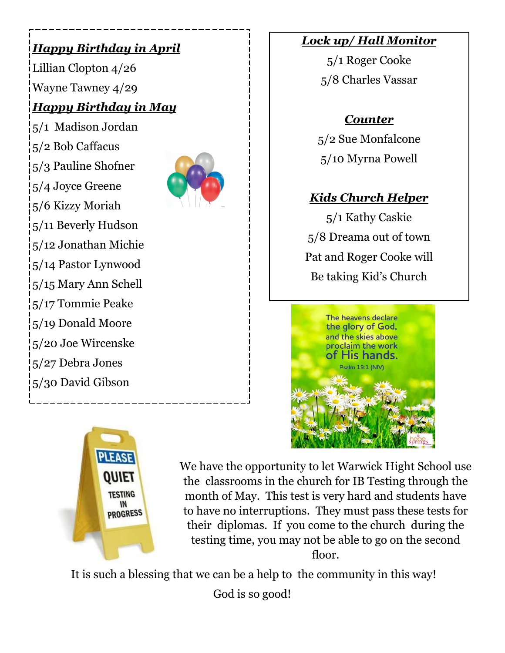# *Happy Birthday in April*

Lillian Clopton 4/26 Wayne Tawney 4/29

# *Happy Birthday in May*

5/1 Madison Jordan 5/2 Bob Caffacus 5/3 Pauline Shofner 5/4 Joyce Greene 5/6 Kizzy Moriah 5/11 Beverly Hudson 5/12 Jonathan Michie 5/14 Pastor Lynwood 5/15 Mary Ann Schell 5/17 Tommie Peake 5/19 Donald Moore 5/20 Joe Wircenske 5/27 Debra Jones 5/30 David Gibson



### *Lock up/ Hall Monitor*

5/1 Roger Cooke 5/8 Charles Vassar

# *Counter*

5/2 Sue Monfalcone 5/10 Myrna Powell

# *Kids Church Helper*

5/1 Kathy Caskie 5/8 Dreama out of town Pat and Roger Cooke will Be taking Kid's Church





We have the opportunity to let Warwick Hight School use the classrooms in the church for IB Testing through the month of May. This test is very hard and students have to have no interruptions. They must pass these tests for their diplomas. If you come to the church during the testing time, you may not be able to go on the second floor.

It is such a blessing that we can be a help to the community in this way!

God is so good!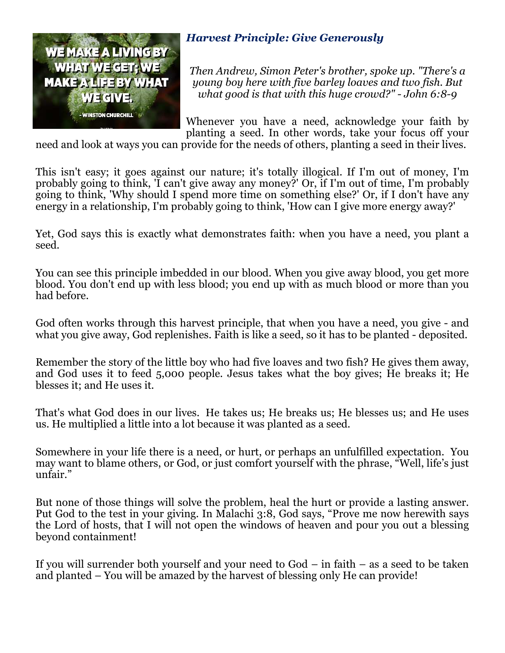

#### *Harvest Principle: Give Generously*

*Then Andrew, Simon Peter's brother, spoke up. "There's a young boy here with five barley loaves and two fish. But what good is that with this huge crowd?" - John 6:8-9* 

Whenever you have a need, acknowledge your faith by planting a seed. In other words, take your focus off your

need and look at ways you can provide for the needs of others, planting a seed in their lives.

This isn't easy; it goes against our nature; it's totally illogical. If I'm out of money, I'm probably going to think, 'I can't give away any money?' Or, if I'm out of time, I'm probably going to think, 'Why should I spend more time on something else?' Or, if I don't have any energy in a relationship, I'm probably going to think, 'How can I give more energy away?'

Yet, God says this is exactly what demonstrates faith: when you have a need, you plant a seed.

You can see this principle imbedded in our blood. When you give away blood, you get more blood. You don't end up with less blood; you end up with as much blood or more than you had before.

God often works through this harvest principle, that when you have a need, you give - and what you give away, God replenishes. Faith is like a seed, so it has to be planted - deposited.

Remember the story of the little boy who had five loaves and two fish? He gives them away, and God uses it to feed  $5,000$  people. Jesus takes what the boy gives; He breaks it; He blesses it; and He uses it.

That's what God does in our lives. He takes us; He breaks us; He blesses us; and He uses us. He multiplied a little into a lot because it was planted as a seed.

Somewhere in your life there is a need, or hurt, or perhaps an unfulfilled expectation. You may want to blame others, or God, or just comfort yourself with the phrase, "Well, life's just unfair."

the Lord of hosts, that I will not open the windows of heaven and pour you out a blessing But none of those things will solve the problem, heal the hurt or provide a lasting answer. Put God to the test in your giving. In Malachi 3:8, God says, "Prove me now herewith says beyond containment!

If you will surrender both yourself and your need to God – in faith – as a seed to be taken and planted – You will be amazed by the harvest of blessing only He can provide!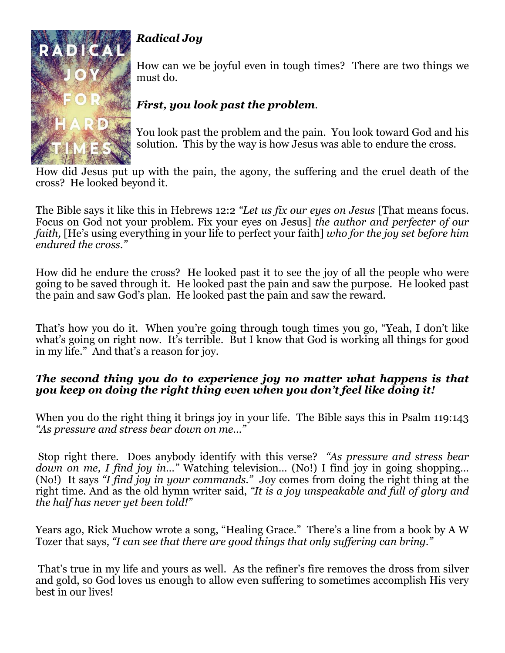

# *Radical Joy*

How can we be joyful even in tough times? There are two things we must do.

## *First, you look past the problem*.

You look past the problem and the pain. You look toward God and his solution. This by the way is how Jesus was able to endure the cross.

How did Jesus put up with the pain, the agony, the suffering and the cruel death of the cross? He looked beyond it.

The Bible says it like this in Hebrews 12:2 *"Let us fix our eyes on Jesus* [That means focus. Focus on God not your problem. Fix your eyes on Jesus] *the author and perfecter of our faith,* [He's using everything in your life to perfect your faith] *who for the joy set before him endured the cross."* 

How did he endure the cross? He looked past it to see the joy of all the people who were going to be saved through it. He looked past the pain and saw the purpose. He looked past the pain and saw God's plan. He looked past the pain and saw the reward.

That's how you do it. When you're going through tough times you go, "Yeah, I don't like what's going on right now. It's terrible. But I know that God is working all things for good in my life." And that's a reason for joy.

#### *The second thing you do to experience joy no matter what happens is that you keep on doing the right thing even when you don't feel like doing it!*

When you do the right thing it brings joy in your life. The Bible says this in Psalm 119:143 *"As pressure and stress bear down on me…"* 

 Stop right there. Does anybody identify with this verse? *"As pressure and stress bear down on me, I find joy in…"* Watching television… (No!) I find joy in going shopping… (No!) It says *"I find joy in your commands."* Joy comes from doing the right thing at the right time. And as the old hymn writer said, *"It is a joy unspeakable and full of glory and the half has never yet been told!"*

Years ago, Rick Muchow wrote a song, "Healing Grace." There's a line from a book by A W Tozer that says, *"I can see that there are good things that only suffering can bring."* 

 That's true in my life and yours as well. As the refiner's fire removes the dross from silver and gold, so God loves us enough to allow even suffering to sometimes accomplish His very best in our lives!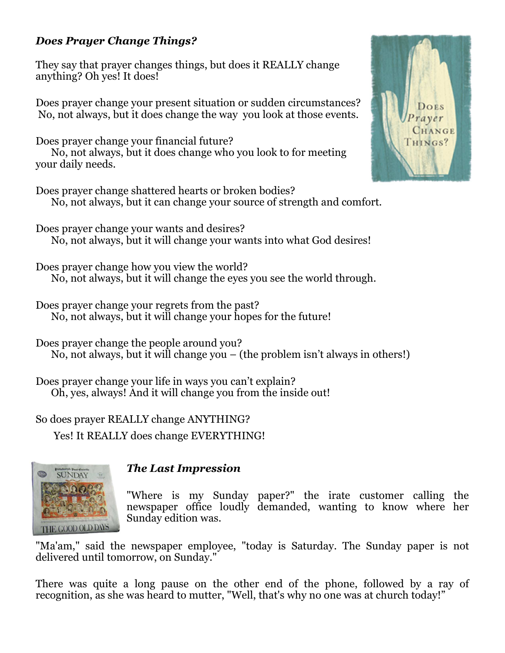#### *Does Prayer Change Things?*

They say that prayer changes things, but does it REALLY change anything? Oh yes! It does!

Does prayer change your present situation or sudden circumstances? No, not always, but it does change the way you look at those events.

Does prayer change your financial future? No, not always, but it does change who you look to for meeting your daily needs.

Does prayer change shattered hearts or broken bodies? No, not always, but it can change your source of strength and comfort.

Does prayer change your wants and desires? No, not always, but it will change your wants into what God desires!

Does prayer change how you view the world? No, not always, but it will change the eyes you see the world through.

Does prayer change your regrets from the past? No, not always, but it will change your hopes for the future!

Does prayer change the people around you? No, not always, but it will change you – (the problem isn't always in others!)

Does prayer change your life in ways you can't explain? Oh, yes, always! And it will change you from the inside out!

So does prayer REALLY change ANYTHING?

Yes! It REALLY does change EVERYTHING!



#### *The Last Impression*

"Where is my Sunday paper?" the irate customer calling the newspaper office loudly demanded, wanting to know where her Sunday edition was.

"Ma'am," said the newspaper employee, "today is Saturday. The Sunday paper is not delivered until tomorrow, on Sunday."

There was quite a long pause on the other end of the phone, followed by a ray of recognition, as she was heard to mutter, "Well, that's why no one was at church today!"

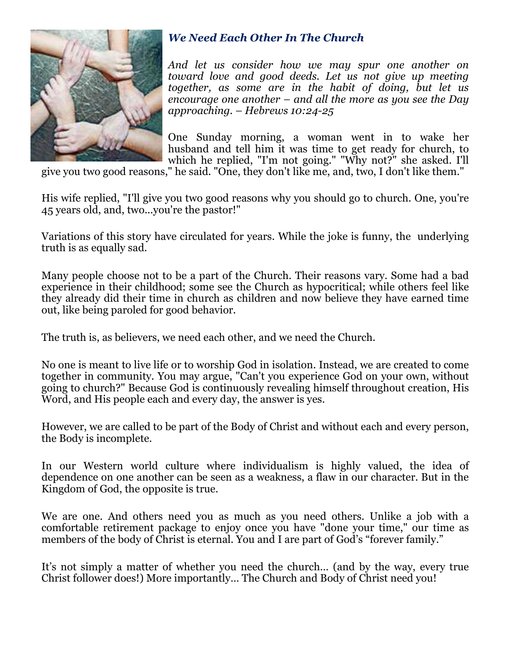

### *We Need Each Other In The Church*

*And let us consider how we may spur one another on toward love and good deeds. Let us not give up meeting together, as some are in the habit of doing, but let us encourage one another – and all the more as you see the Day approaching. – Hebrews 10:24-25* 

One Sunday morning, a woman went in to wake her husband and tell him it was time to get ready for church, to which he replied, "I'm not going." "Why not?" she asked. I'll

give you two good reasons," he said. "One, they don't like me, and, two, I don't like them."

His wife replied, "I'll give you two good reasons why you should go to church. One, you're 45 years old, and, two...you're the pastor!"

Variations of this story have circulated for years. While the joke is funny, the underlying truth is as equally sad.

Many people choose not to be a part of the Church. Their reasons vary. Some had a bad experience in their childhood; some see the Church as hypocritical; while others feel like they already did their time in church as children and now believe they have earned time out, like being paroled for good behavior.

The truth is, as believers, we need each other, and we need the Church.

No one is meant to live life or to worship God in isolation. Instead, we are created to come together in community. You may argue, "Can't you experience God on your own, without going to church?" Because God is continuously revealing himself throughout creation, His Word, and His people each and every day, the answer is yes.

However, we are called to be part of the Body of Christ and without each and every person, the Body is incomplete.

In our Western world culture where individualism is highly valued, the idea of dependence on one another can be seen as a weakness, a flaw in our character. But in the Kingdom of God, the opposite is true.

We are one. And others need you as much as you need others. Unlike a job with a comfortable retirement package to enjoy once you have "done your time," our time as members of the body of Christ is eternal. You and I are part of God's "forever family."

It's not simply a matter of whether you need the church… (and by the way, every true Christ follower does!) More importantly… The Church and Body of Christ need you!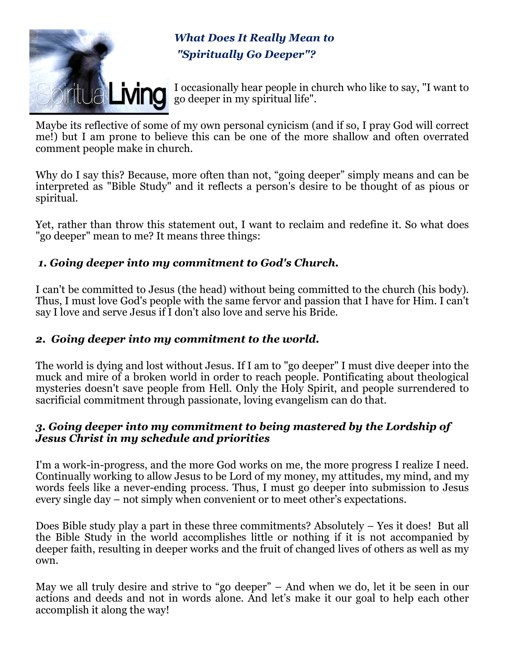

*What Does It Really Mean to "Spiritually Go Deeper"?* 

I occasionally hear people in church who like to say, "I want to **it UALMING** I occasionally hear people in check

Maybe its reflective of some of my own personal cynicism (and if so, I pray God will correct me!) but I am prone to believe this can be one of the more shallow and often overrated comment people make in church.

Why do I say this? Because, more often than not, "going deeper" simply means and can be interpreted as "Bible Study" and it reflects a person's desire to be thought of as pious or spiritual.

Yet, rather than throw this statement out, I want to reclaim and redefine it. So what does "go deeper" mean to me? It means three things:

#### *1. Going deeper into my commitment to God's Church.*

I can't be committed to Jesus (the head) without being committed to the church (his body). Thus, I must love God's people with the same fervor and passion that I have for Him. I can't say I love and serve Jesus if I don't also love and serve his Bride.

#### *2. Going deeper into my commitment to the world.*

The world is dying and lost without Jesus. If I am to "go deeper" I must dive deeper into the muck and mire of a broken world in order to reach people. Pontificating about theological mysteries doesn't save people from Hell. Only the Holy Spirit, and people surrendered to sacrificial commitment through passionate, loving evangelism can do that.

#### *3. Going deeper into my commitment to being mastered by the Lordship of Jesus Christ in my schedule and priorities*

I'm a work-in-progress, and the more God works on me, the more progress I realize I need. Continually working to allow Jesus to be Lord of my money, my attitudes, my mind, and my words feels like a never-ending process. Thus, I must go deeper into submission to Jesus every single day – not simply when convenient or to meet other's expectations.

Does Bible study play a part in these three commitments? Absolutely – Yes it does! But all the Bible Study in the world accomplishes little or nothing if it is not accompanied by deeper faith, resulting in deeper works and the fruit of changed lives of others as well as my own.

May we all truly desire and strive to "go deeper" – And when we do, let it be seen in our actions and deeds and not in words alone. And let's make it our goal to help each other accomplish it along the way!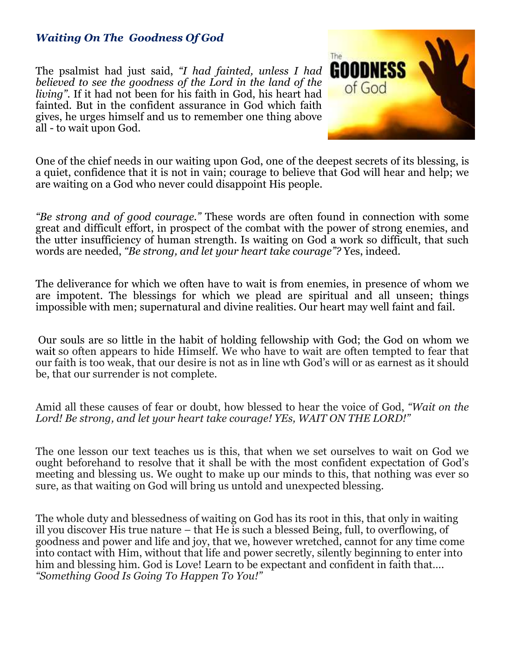#### *Waiting On The Goodness Of God*

The psalmist had just said, *"I had fainted, unless I had believed to see the goodness of the Lord in the land of the living".* If it had not been for his faith in God, his heart had fainted. But in the confident assurance in God which faith gives, he urges himself and us to remember one thing above all - to wait upon God.



One of the chief needs in our waiting upon God, one of the deepest secrets of its blessing, is a quiet, confidence that it is not in vain; courage to believe that God will hear and help; we are waiting on a God who never could disappoint His people.

*"Be strong and of good courage."* These words are often found in connection with some great and difficult effort, in prospect of the combat with the power of strong enemies, and the utter insufficiency of human strength. Is waiting on God a work so difficult, that such words are needed, *"Be strong, and let your heart take courage"?* Yes, indeed.

The deliverance for which we often have to wait is from enemies, in presence of whom we are impotent. The blessings for which we plead are spiritual and all unseen; things impossible with men; supernatural and divine realities. Our heart may well faint and fail.

 Our souls are so little in the habit of holding fellowship with God; the God on whom we wait so often appears to hide Himself. We who have to wait are often tempted to fear that our faith is too weak, that our desire is not as in line wth God's will or as earnest as it should be, that our surrender is not complete.

Amid all these causes of fear or doubt, how blessed to hear the voice of God, *"Wait on the Lord! Be strong, and let your heart take courage! YEs, WAIT ON THE LORD!"* 

The one lesson our text teaches us is this, that when we set ourselves to wait on God we ought beforehand to resolve that it shall be with the most confident expectation of God's meeting and blessing us. We ought to make up our minds to this, that nothing was ever so sure, as that waiting on God will bring us untold and unexpected blessing.

The whole duty and blessedness of waiting on God has its root in this, that only in waiting ill you discover His true nature – that He is such a blessed Being, full, to overflowing, of goodness and power and life and joy, that we, however wretched, cannot for any time come into contact with Him, without that life and power secretly, silently beginning to enter into him and blessing him. God is Love! Learn to be expectant and confident in faith that…. *"Something Good Is Going To Happen To You!"*